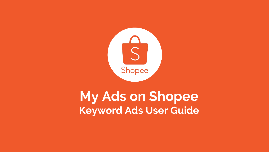

# **My Ads on Shopee Keyword Ads User Guide**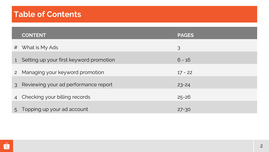# **Table of Contents Table of Contents**

|               | <b>CONTENT</b>                          | <b>PAGES</b> |
|---------------|-----------------------------------------|--------------|
| #             | What is My Ads                          | 3            |
| 1             | Setting up your first keyword promotion | $6 - 16$     |
|               | 2 Managing your keyword promotion       | $17 - 22$    |
| $\mathcal{S}$ | Reviewing your ad performance report    | $23 - 24$    |
|               | 4 Checking your billing records         | $25 - 26$    |
|               | 5 Topping up your ad account            | $27 - 30$    |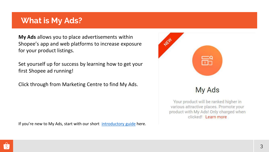# **What is My Ads?**

**My Ads** allows you to place advertisements within Shopee's app and web platforms to increase exposure for your product listings.

Set yourself up for success by learning how to get your first Shopee ad running!

Click through from Marketing Centre to find My Ads.

If you're new to My Ads, start with our short [introductory guide](http://myads.shopee.sg/) here.



# My Ads

Your product will be ranked higher in various attractive places. Promote your product with My Ads! Only charged when clicked! Learn more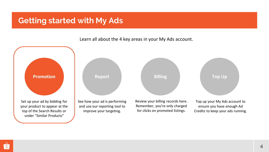# **Getting started with My Ads**

Learn all about the 4 key areas in your My Ads account.

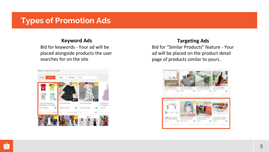# **Types of Promotion Ads**

## **Keyword Ads**

Bid for keywords - Your ad will be placed alongside products the user searches for on the site



## **Targeting Ads**

Bid for "Similar Products" feature - Your ad will be placed on the product detail page of products similar to yours.

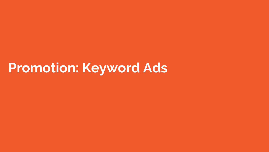# **Promotion: Keyword Ads**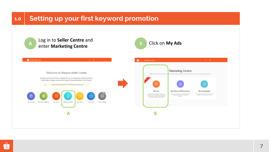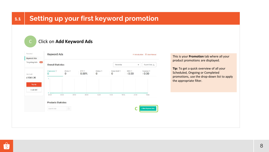# **1.1 Setting up your first keyword promotion**



# C Click on **Add Keyword Ads**



This is your **Promotion** tab where all your product promotions are displayed.

**Tip:** To get a quick overview of all your Scheduled, Ongoing or Completed promotions, use the drop-down list to apply the appropriate filter.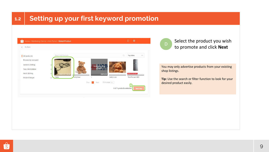### **Setting up your first keyword promotion 1.2**

| Ĝ                   | Home > Marketing Centre > Ads Portal > Select Product |                        |                          | 冊<br><b>△</b>            |
|---------------------|-------------------------------------------------------|------------------------|--------------------------|--------------------------|
| Go Back             |                                                       |                        |                          |                          |
| All products        | Search My Products                                    |                        | $\alpha$                 | Top Sales<br>$\vee$      |
| Browse by category  |                                                       |                        |                          |                          |
| Women's Clothing    | $\ddotmark$                                           | The product is out     |                          |                          |
| Toys, Kids & Babies | $\check{ }$                                           | of stock.              |                          |                          |
| Men's Clothing      | $\boldsymbol{\vee}$<br>RM20.00 - 50.00                | RM10.00<br>$-0.088338$ | Giornativers             | LIMITED TO 20 VANTS ONLY |
| Mobile & Gadget     | feddy bear<br>Cable<br>$\checkmark$                   |                        | teddy cute               | Test Product 482         |
|                     |                                                       | Prev<br>Next           | Go to page 1             |                          |
|                     |                                                       |                        | 0 of 1 products selected | <b>Next Step</b>         |
|                     |                                                       |                        |                          |                          |
|                     |                                                       |                        |                          |                          |



You may only advertise products from your existing shop listings.

**Tip:** Use the search or filter function to look for your desired product easily.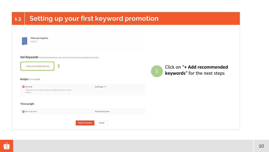| 1.3 |                                                                                                                                                                                              | Setting up your first keyword promotion |                                                                  |
|-----|----------------------------------------------------------------------------------------------------------------------------------------------------------------------------------------------|-----------------------------------------|------------------------------------------------------------------|
|     | <b>Pride and Prejudice</b><br>\$100.00<br>Set Keywords The following keywords were used last time when you promoted this product<br>E<br>+ Add recommended keywords<br>Budget Balance \$0.00 |                                         | Click on "+ Add recommended<br>E<br>keywords" for the next steps |
|     | No Limit<br>This promotion can support maximum 0 clicks based on your current<br>balance.                                                                                                    | Set Budget                              |                                                                  |
|     | <b>Time Length</b>                                                                                                                                                                           |                                         |                                                                  |
|     | No Time Limit                                                                                                                                                                                | Set Start/End Date                      |                                                                  |
|     |                                                                                                                                                                                              | <b>Publish Promotion</b><br>Cancel      |                                                                  |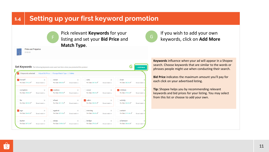### **Setting up your first keyword promotion 1.4**



**Pride and Prejudice** 

\$100.00

Pick relevant **Keywords** for your listing and set your **Bid Price** and **Match Type**.



If you wish to add your own keywords, click on **Add More**

| 5 keywords selected<br>E |               | Adjust Bid Price   Change Match Type   Delete |               |                   |               |                           |               |
|--------------------------|---------------|-----------------------------------------------|---------------|-------------------|---------------|---------------------------|---------------|
| $\vee$ herself           | $\times$      | occur                                         | $\times$      | sets              | $\times$      | draw                      | $\times$      |
| Per Click \$79.20        | Broad match - | Per Click \$88.80                             | Broad match - | Per Click \$87.60 | Broad match - | Per Click \$82.80         | Broad match - |
| complete                 | $\times$      | $\vee$ cookies                                | $\times$      | cover             | $\times$      | $\triangleright$ children | $\times$      |
| Per Click \$90.00        | Broad match - | Per Click \$90.00                             | Broad match - | Per Click \$98.40 | Broad match - | Per Click \$79.20         | Broad match - |
| <b>far</b>               | $\times$      | shout                                         | $\times$      | $\vee$ cabin      | $\times$      | activity                  | $\times$      |
| Per Click \$82.80        | Broad match - | Per Click \$61.20                             | Broad match = | Per Click \$84.00 | Broad match - | Per Click \$64.80         | Broad match = |
| $\vee$ ago               | $\times$      | against                                       | $\times$      | evening           | $\times$      | contain                   | $\times$      |
| Per Click \$64.80        | Broad match - | Per Click \$87.60                             | Broad match - | Per Click \$96.00 | Broad match - | Per Click \$110.40        | Broad match - |
| butter                   | $\times$      | steep                                         | $\times$      | bridge            | $\times$      | afternoon                 | $\times$      |
| Per Click \$67.20        | Broad match - | Per Click \$105.60                            | Broad match = | Per Click \$79.20 | Broad match = | Per Click \$86.40         | Broad match   |

**Keywords** influence when your ad will appear in a Shopee search. Choose keywords that are similar to the words or phrases people might use when conducting their search.

**Bid Price** indicates the maximum amount you'll pay for each click on your advertised listing.

**Tip:** Shopee helps you by recommending relevant keywords and bid prices for your listing. You may select from this list or choose to add your own.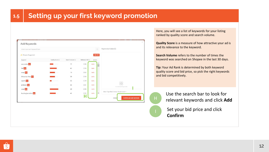| Enter your own keyword here |               |               |               | $\circ$        | Keywords Added(0)                      |
|-----------------------------|---------------|---------------|---------------|----------------|----------------------------------------|
| Shopee Suggested            |               |               |               | Add All        |                                        |
| Keyword                     | Quality Score | Search Volume | Reference Bid | Action         |                                        |
| microchip <sup>Hot</sup>    |               | 77            | S 88          | Add >          |                                        |
| fall Hot                    |               | 62            | \$59          | Add >          |                                        |
| soap Hot                    |               | 19            | \$62          | Add            |                                        |
| lithuanian litas Hot        |               | 39            | \$50          | Add            |                                        |
| sports Hot                  |               | 55            | \$79          | $Add$ >        |                                        |
| protocol Hot                |               | 30            | \$81          | $Add$ >        | 88<br>no selected keywords             |
| steel Hot                   |               | 35            | <b>\$59</b>   | Add >          |                                        |
| buckinghamshire Hot         |               | 41            | S 52<br>Н     | $\star$<br>Add | Match Type Batch Action: Broad match * |

Here, you will see a list of keywords for your listing ranked by quality score and search volume.

**Quality Score** is a measure of how attractive your ad is and its relevance to the keyword.

**Search Volume** refers to the number of times the keyword was searched on Shopee in the last 30 days.

**Tip:** Your Ad Rank is determined by both keyword quality score and bid price, so pick the right keywords and bid competitively.



Use the search bar to look for relevant keywords and click **Add**

Set your bid price and click **Confirm**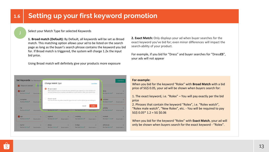### Select your Match Type for selected Keywords

**1. Broad match (Default):** By Default, all keywords will be set as Broad match. This matching option allows your ad to be listed on the search page as long as the buyer's search phrase contains the keyword you bid for. If Broad match is triggered, the system will charge 1.2x the input bid price.

Using Broad match will definitely give your products more exposure



**2. Exact Match:** Only displays your ad when buyer searches for the exact keyword you've bid for; even minor differences will impact the search-ability of your product.

For example, if you bid for "Dress" and buyer searches for "Dress**ES**", your ads will not appear

#### **For example:**

When you bid for the keyword "Rolex" with **Broad Match** with a bid price of SG\$ 0.05, your ad will be shown when buyers search for:

1. The exact keyword, i.e. "Rolex" – You will pay exactly per the bid price

2. Phrases that contain the keyword "Rolex", i.e. "Rolex watch", "Rolex male watch", "New Rolex", etc. - You will be required to pay  $SG$ 0.05*1.2 = SG $0.06$ 

When you bid for the keyword "Rolex" with **Exact Match**, your ad will only be shown when buyers search for the exact keyword - "Rolex".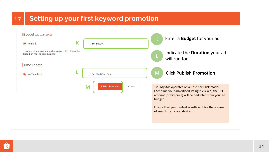### **Setting up your first keyword promotion 1.7**

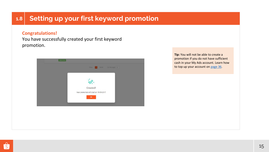### **Setting up your first keyword promotion 1.8**

### **Congratulations!**

You have successfully created your first keyword promotion.



**Tip:** You will not be able to create a promotion if you do not have sufficient cash in your My Ads account. Learn how to top up your account on page 36.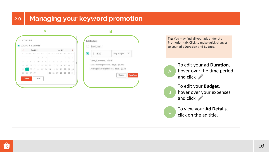### **Managing your keyword promotion 2.0**

| $\left\langle \right\rangle$ | Feb 2019<br>Mar 2019 |                                                         |       | $\geq$                                                                |    |          |     |    | No Limit |    |    |                |    |                                         |
|------------------------------|----------------------|---------------------------------------------------------|-------|-----------------------------------------------------------------------|----|----------|-----|----|----------|----|----|----------------|----|-----------------------------------------|
|                              |                      | Mon Tue Wed Thu Fri Sat Sun Mon Tue Wed Thu Fri Sat Sun |       |                                                                       |    |          |     |    |          |    |    |                |    | . V<br>Daily Budget<br>Ŝ.<br>5.00       |
|                              |                      |                                                         |       | T                                                                     |    | $2 \t3$  |     |    |          |    |    | $\overline{2}$ | 3  |                                         |
| 4                            | 5.                   | 6                                                       | R     | $\mathcal{E}% _{0}\left( t\right) \sim\mathcal{E}_{0}\left( t\right)$ | 9. | 70       | 适   | 5  | 6        | Z. | 8  | 9              | 70 | Today's expense: \$0.16                 |
| 77                           | 12                   | 13                                                      | $-74$ | 15                                                                    | 16 | 77       | 7.7 |    | 12 13    | 14 | 15 | 16             | 17 | Max. daily expense in 7 days: \$0.113   |
| 18                           |                      | 20                                                      | 27    | 22                                                                    |    | 23 24 18 |     | 19 | 20       | 21 | 22 | 23             | 24 | Average daily expense in 7 days: \$0.16 |
| 25                           |                      | 26 27 28                                                |       |                                                                       |    |          | 25  | 26 | 27       | 28 | 29 | 30 31          |    | Cancel                                  |
|                              | <b>Confirm</b>       |                                                         |       | Cancel                                                                |    |          |     |    |          |    |    |                |    |                                         |
|                              |                      |                                                         |       |                                                                       |    |          |     |    |          |    |    |                |    |                                         |

**Tip:** You may find all your ads under the Promotion tab. Click to make quick changes to your ad's **Duration** and **Budget.**

A

B

To edit your ad **Duration**, hover over the time period and click

To edit your **Budget**, hover over your expenses and click **A** 

To view your **Ad Details**,  $\overline{c}$  click on the ad title.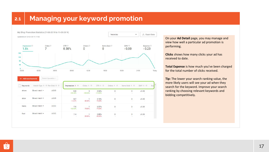# **2.1 Managing your keyword promotion**



On your **Ad Detail** page, you may manage and view how well a particular ad promotion is performing.

**Clicks** shows how many clicks your ad has received to date.

**Total Expense** is how much you've been charged for the total number of clicks received.

**Tip:** The lower your search ranking value, the more likely users will see your ad when they search for the keyword. Improve your search ranking by choosing relevant keywords and bidding competitively.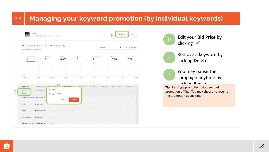### **2.2 Managing your keyword promotion (by individual keywords)**

|                                        | product1<br>Time 2019/02/22 to Unlimited / Budget No Limit / |                        |                           |                          |                            |                            | Pause             | Stop                     |
|----------------------------------------|--------------------------------------------------------------|------------------------|---------------------------|--------------------------|----------------------------|----------------------------|-------------------|--------------------------|
| Updated at 14-03-2019 09:18            | My Shop Promotion Statistics (13-03-2019 to 13-03-2019)      |                        |                           |                          | Yesterday                  |                            | $\check{}$        | $\downarrow$ Export Data |
| Impression<br>$\Omega$<br>$\mathbf{I}$ | 0                                                            | Clicks <sup>O</sup>    | CTR <sup>O</sup><br>0.00% | Orders <sup>1</sup><br>0 | Items Sold<br>$\mathbf{0}$ | GMV <sup>O</sup><br>\$0.00 |                   | Expense<br>\$0.00        |
| $\theta$<br>00.00                      | 03:00                                                        | 06:00                  | 09:00                     | 12:00                    | 15.00                      | 18:00                      | 21:00             | Today                    |
|                                        |                                                              |                        |                           |                          |                            |                            |                   |                          |
| Keywords<br>turquoise<br>Delete        | Match Type $\div$<br>Broad match *                           | Set price<br>Per Click | S 98.40                   | 500                      | $CTR = 0$                  | Orders $\div$ $\otimes$    | Items Sold $\div$ | $GMV = 0$                |
| rest                                   | checking account Broad match .<br>Broad match *              | <b>DISTABLENT</b>      | Cancel                    | u<br>Confirm             |                            |                            |                   |                          |
| panel                                  | Broad match -                                                | \$86.40                |                           |                          |                            |                            |                   |                          |
| programming                            | Broad match *                                                | \$112.80               |                           |                          |                            |                            |                   |                          |



E

clicking

Remove a keyword by clicking **Delete**

You may pause the campaign anytime by

### clicking **Pause**

**Tip:** Pausing a promotion takes your ad promotion offline. You may choose to resume the promotion at any time.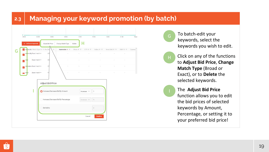#### **2.3 Managing your keyword promotion (by batch)**



G To batch-edit your keywords, select the keywords you wish to edit.

Click on any of the functions to **Adjust Bid Price**, **Change Match Type** (Broad or Exact), or to **Delete** the selected keywords. H

> The **Adjust Bid Price**  function allows you to edit the bid prices of selected keywords by Amount, Percentage, or setting it to your preferred bid price!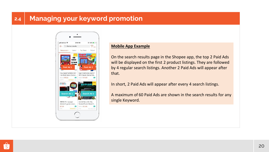#### **2.4 Managing your keyword promotion**



### **Mobile App Example**

On the search results page in the Shopee app, the top 2 Paid Ads will be displayed on the first 2 product listings. They are followed by 4 regular search listings. Another 2 Paid Ads will appear after that.

In short, 2 Paid Ads will appear after every 4 search listings.

A maximum of 60 Paid Ads are shown in the search results for any single Keyword.

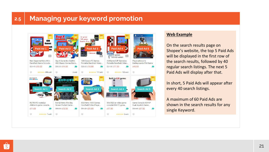### **2.5 Managing your keyword promotion**



### **Web Example**

On the search results page on Shopee's website, the top 5 Paid Ads will be displayed in the first row of the search results, followed by 40 regular search listings. The next 5 Paid Ads will display after that.

In short, 5 Paid Ads will appear after every 40 search listings.

A maximum of 60 Paid Ads are shown in the search results for any single Keyword.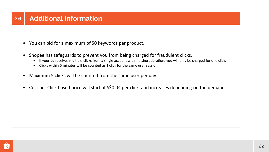- You can bid for a maximum of 50 keywords per product.
- Shopee has safeguards to prevent you from being charged for fraudulent clicks.
	- If your ad receives multiple clicks from a single account within a short duration, you will only be charged for one click.
	- Clicks within 5 minutes will be counted as 1 click for the same user session.
- Maximum 5 clicks will be counted from the same user per day.
- Cost per Click based price will start at S\$0.04 per click, and increases depending on the demand.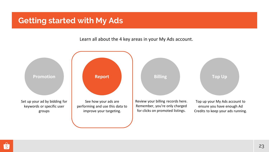# **Getting started with My Ads**

Learn all about the 4 key areas in your My Ads account.



 $\hat{s}$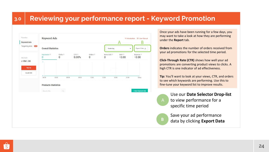### **Reviewing your performance report - Keyword Promotion 3.0**



Once your ads have been running for a few days, you may want to take a look at how they are performing under the **Report** tab.

**Orders** indicates the number of orders received from your ad promotions for the selected time period.

**Click-Through Rate (CTR)** shows how well your ad promotions are converting product views to clicks. A high CTR is one indicator of ad effectiveness.

**Tip:** You'll want to look at your views, CTR, and orders to see which keywords are performing. Use this to fine-tune your keyword list to improve results.

A Use our **Date Selector Drop-list** to view performance for a specific time period

Save your ad performance data by clicking **Export Data**

**B**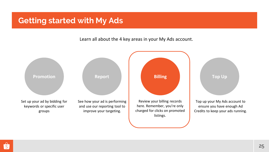# **Getting started with My Ads**

Learn all about the 4 key areas in your My Ads account.

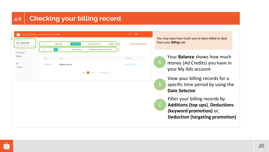### **Checking your billing record 4.0**

| SG 1000.00<br>Updated At: 15-09-2017 15:13 | Recent     | Last week             | Last month    | Last three month     | Custom $\vee$                 | B | Export Filtered Results | from y |
|--------------------------------------------|------------|-----------------------|---------------|----------------------|-------------------------------|---|-------------------------|--------|
| Promotion                                  | Type       | All                   | Balance topup |                      | Deduction (Keyword promotion) |   |                         |        |
| Report                                     | Date       | Type                  |               |                      |                               |   | Amount                  |        |
| Bill<br>Top Up                             | 15-09-2017 | <b>Balance Top-up</b> |               |                      |                               |   | +SG 1000.00             |        |
|                                            |            |                       | Prev          | Next<br>$\mathbf{1}$ | Go to page 1                  |   |                         |        |
|                                            |            |                       |               |                      |                               |   |                         |        |
|                                            |            |                       |               |                      |                               |   |                         |        |
|                                            |            |                       |               |                      |                               |   |                         |        |
|                                            |            |                       |               |                      |                               |   |                         |        |
|                                            |            |                       |               |                      |                               |   |                         |        |
|                                            |            |                       |               |                      |                               |   |                         |        |
|                                            |            |                       |               |                      |                               |   |                         |        |

ay view how much you've been billed to date your **Billing** tab.

- Your **Balance** shows how much money (Ad Credits) you have in your My Ads account
- View your billing records for a specific time period by using the **Date Selector**
- Filter your billing records by **Additions (top ups)**, **Deductions (keyword promotion)** or, **Deduction (targeting promotion)**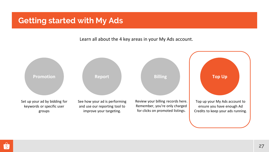# **Getting started with My Ads**

Learn all about the 4 key areas in your My Ads account.

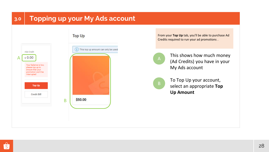# **3.0 Topping up your My Ads account**



From your **Top Up** tab, you'll be able to purchase Ad Credits required to run your ad promotions .



This shows how much money (Ad Credits) you have in your My Ads account



To Top Up your account, select an appropriate **Top Up Amount**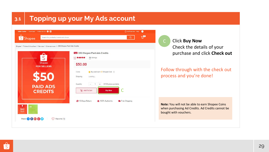### **Topping up your My Ads account 3.1**



Click **Buy Now** Check the details of your purchase and click **Check out**

## Follow through with the check out process and you're done!

**Note:** You will not be able to earn Shopee Coins when purchasing Ad Credits. Ad Credits cannot be bought with vouchers.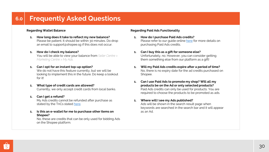# **6.0 Frequently Asked Questions**

### **Regarding Wallet Balance**

- **1. How long does it take to reflect my new balance?**  Please be patient. It should be within 30 minutes. Do drop an email to support@shopee.sg if this does not occur.
- **1. How do I check my balance?**  You will be able to view your balance from *Seller Centre > Marketing Centre > My Ads.*
- **1. Can I opt for an instant top-up option?**

We do not have this feature currently, but we will be looking to implement this in the future. Do keep a lookout for it!

**1. What type of credit cards are allowed?** 

Currently, we only accept credit cards from local banks.

**1. Can I get a refund?** 

My Ads credits cannot be refunded after purchase as stated by the TnCs stated [here](https://shopee.sg/legaldoc/terms).

**1. Is this an e-wallet for me to purchase other items on Shopee?** 

No, these are credits that can be only used for bidding Ads on the Shopee platform.

#### **Regarding Paid Ads Functionality**

- **1. How do I purchase Paid Ads credits?**  Please refer to our quide online [here](http://myads.shopee.sg/) for more details on purchasing Paid Ads credits.
- **1. Can I buy this as a gift for someone else?**  Unfortunately, no. However, you can consider getting them something else from our platform as a gift!
- **1. Will my Paid Ads credits expire after a period of time?**  No, there is no expiry date for the ad credits purchased on Shopee.
- **1. Can I use Paid Ads to promote my shop? Will all my products be on the Ad or only selected products?**  Paid Ads credits can only be used for products. You are required to choose the products to be promoted as ads.
- **1. Where will I see my Ads published?**

Ads will be shown in the search result page when keywords are searched in the search bar and it will appear as an Ad.